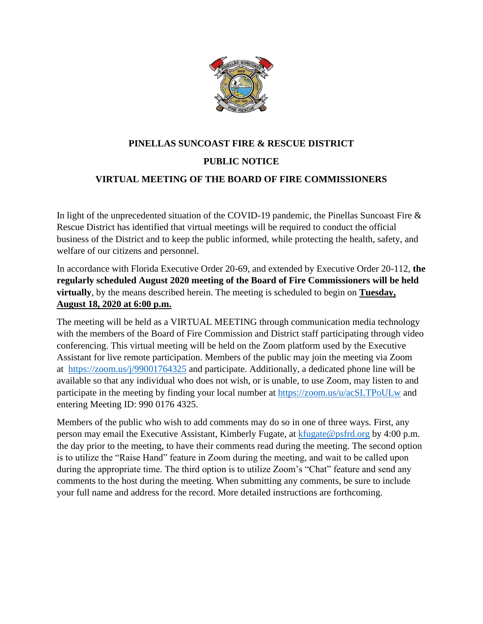

# **PINELLAS SUNCOAST FIRE & RESCUE DISTRICT PUBLIC NOTICE VIRTUAL MEETING OF THE BOARD OF FIRE COMMISSIONERS**

In light of the unprecedented situation of the COVID-19 pandemic, the Pinellas Suncoast Fire & Rescue District has identified that virtual meetings will be required to conduct the official business of the District and to keep the public informed, while protecting the health, safety, and welfare of our citizens and personnel.

In accordance with Florida Executive Order 20-69, and extended by Executive Order 20-112, **the regularly scheduled August 2020 meeting of the Board of Fire Commissioners will be held virtually**, by the means described herein. The meeting is scheduled to begin on **Tuesday, August 18, 2020 at 6:00 p.m.**

The meeting will be held as a VIRTUAL MEETING through communication media technology with the members of the Board of Fire Commission and District staff participating through video conferencing. This virtual meeting will be held on the Zoom platform used by the Executive Assistant for live remote participation. Members of the public may join the meeting via Zoom at <https://zoom.us/j/99001764325> and participate. Additionally, a dedicated phone line will be available so that any individual who does not wish, or is unable, to use Zoom, may listen to and participate in the meeting by finding your local number at<https://zoom.us/u/acSLTPoULw> and entering Meeting ID: 990 0176 4325.

Members of the public who wish to add comments may do so in one of three ways. First, any person may email the Executive Assistant, Kimberly Fugate, at [kfugate@psfrd.org](mailto:kfugate@psfrd.org) by 4:00 p.m. the day prior to the meeting, to have their comments read during the meeting. The second option is to utilize the "Raise Hand" feature in Zoom during the meeting, and wait to be called upon during the appropriate time. The third option is to utilize Zoom's "Chat" feature and send any comments to the host during the meeting. When submitting any comments, be sure to include your full name and address for the record. More detailed instructions are forthcoming.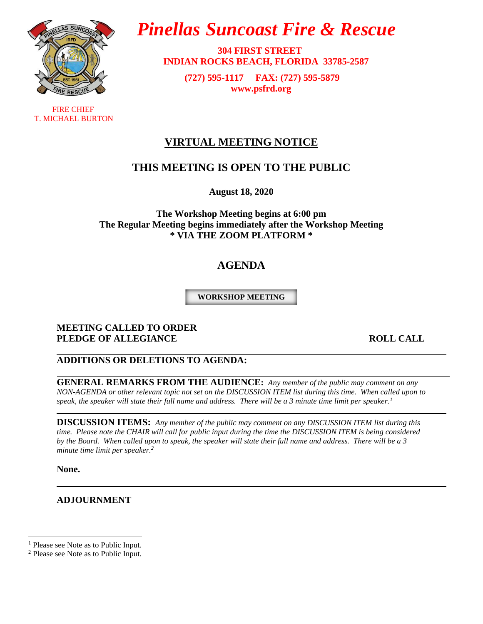

 FIRE CHIEF T. MICHAEL BURTON

# *Pinellas Suncoast Fire & Rescue*

 **304 FIRST STREET INDIAN ROCKS BEACH, FLORIDA 33785-2587**

> **(727) 595-1117 FAX: (727) 595-5879 [www.psfrd.org](http://www.psfrd.org/)**

# **VIRTUAL MEETING NOTICE**

# **THIS MEETING IS OPEN TO THE PUBLIC**

**August 18, 2020**

**The Workshop Meeting begins at 6:00 pm The Regular Meeting begins immediately after the Workshop Meeting \* VIA THE ZOOM PLATFORM \***

# **AGENDA**

**WORKSHOP MEETING**

### **MEETING CALLED TO ORDER PLEDGE OF ALLEGIANCE** ROLL CALL

# **ADDITIONS OR DELETIONS TO AGENDA:**

**GENERAL REMARKS FROM THE AUDIENCE:** *Any member of the public may comment on any NON-AGENDA or other relevant topic not set on the DISCUSSION ITEM list during this time. When called upon to speak, the speaker will state their full name and address. There will be a 3 minute time limit per speaker.<sup>1</sup>*

**DISCUSSION ITEMS:** *Any member of the public may comment on any DISCUSSION ITEM list during this time. Please note the CHAIR will call for public input during the time the DISCUSSION ITEM is being considered by the Board. When called upon to speak, the speaker will state their full name and address. There will be a 3 minute time limit per speaker.<sup>2</sup>*

**None.**

### **ADJOURNMENT**

<sup>&</sup>lt;sup>1</sup> Please see Note as to Public Input.

<sup>2</sup> Please see Note as to Public Input.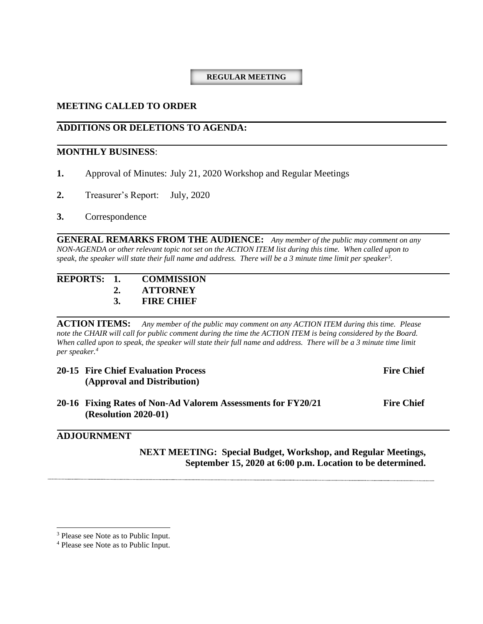### **REGULAR MEETING**

### **MEETING CALLED TO ORDER**

# **ADDITIONS OR DELETIONS TO AGENDA:**

### **MONTHLY BUSINESS**:

- **1.** Approval of Minutes: July 21, 2020 Workshop and Regular Meetings
- **2.** Treasurer's Report: July, 2020

### **3.** Correspondence

**GENERAL REMARKS FROM THE AUDIENCE:** *Any member of the public may comment on any NON-AGENDA or other relevant topic not set on the ACTION ITEM list during this time. When called upon to speak, the speaker will state their full name and address. There will be a 3 minute time limit per speaker<sup>3</sup> .*

| REPORTS: 1. | <b>COMMISSION</b> |
|-------------|-------------------|
|             | <b>ATTORNEY</b>   |
|             | <b>FIRE CHIEF</b> |

**ACTION ITEMS:** *Any member of the public may comment on any ACTION ITEM during this time. Please note the CHAIR will call for public comment during the time the ACTION ITEM is being considered by the Board. When called upon to speak, the speaker will state their full name and address. There will be a 3 minute time limit per speaker.<sup>4</sup>*

| <b>20-15 Fire Chief Evaluation Process</b><br>(Approval and Distribution)                   | <b>Fire Chief</b> |
|---------------------------------------------------------------------------------------------|-------------------|
| 20-16 Fixing Rates of Non-Ad Valorem Assessments for FY20/21<br><b>(Resolution 2020-01)</b> | <b>Fire Chief</b> |

### **ADJOURNMENT**

**NEXT MEETING: Special Budget, Workshop, and Regular Meetings, September 15, 2020 at 6:00 p.m. Location to be determined.**

<sup>&</sup>lt;sup>3</sup> Please see Note as to Public Input.

<sup>4</sup> Please see Note as to Public Input.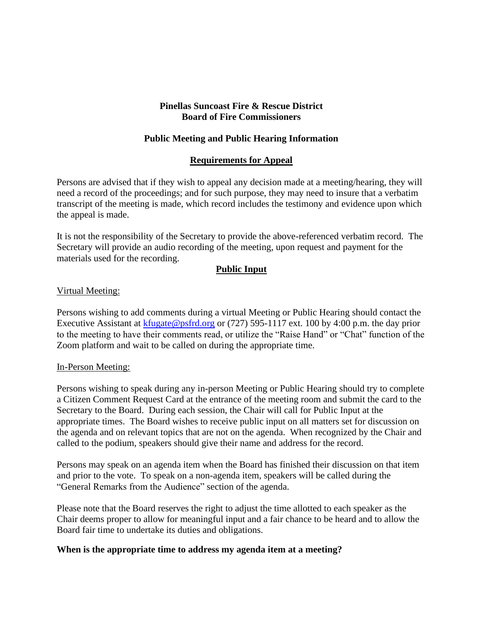### **Pinellas Suncoast Fire & Rescue District Board of Fire Commissioners**

# **Public Meeting and Public Hearing Information**

### **Requirements for Appeal**

Persons are advised that if they wish to appeal any decision made at a meeting/hearing, they will need a record of the proceedings; and for such purpose, they may need to insure that a verbatim transcript of the meeting is made, which record includes the testimony and evidence upon which the appeal is made.

It is not the responsibility of the Secretary to provide the above-referenced verbatim record. The Secretary will provide an audio recording of the meeting, upon request and payment for the materials used for the recording.

### **Public Input**

### Virtual Meeting:

Persons wishing to add comments during a virtual Meeting or Public Hearing should contact the Executive Assistant at [kfugate@psfrd.org](mailto:kfugate@psfrd.org) or (727) 595-1117 ext. 100 by 4:00 p.m. the day prior to the meeting to have their comments read, or utilize the "Raise Hand" or "Chat" function of the Zoom platform and wait to be called on during the appropriate time.

### In-Person Meeting:

Persons wishing to speak during any in-person Meeting or Public Hearing should try to complete a Citizen Comment Request Card at the entrance of the meeting room and submit the card to the Secretary to the Board. During each session, the Chair will call for Public Input at the appropriate times. The Board wishes to receive public input on all matters set for discussion on the agenda and on relevant topics that are not on the agenda. When recognized by the Chair and called to the podium, speakers should give their name and address for the record.

Persons may speak on an agenda item when the Board has finished their discussion on that item and prior to the vote. To speak on a non-agenda item, speakers will be called during the "General Remarks from the Audience" section of the agenda.

Please note that the Board reserves the right to adjust the time allotted to each speaker as the Chair deems proper to allow for meaningful input and a fair chance to be heard and to allow the Board fair time to undertake its duties and obligations.

### **When is the appropriate time to address my agenda item at a meeting?**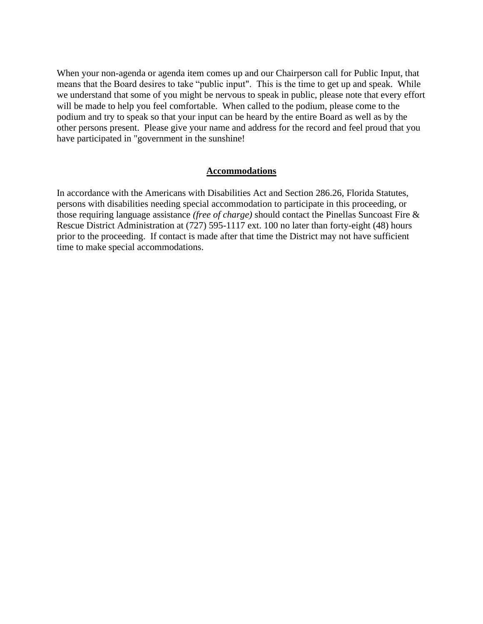When your non-agenda or agenda item comes up and our Chairperson call for Public Input, that means that the Board desires to take "public input". This is the time to get up and speak. While we understand that some of you might be nervous to speak in public, please note that every effort will be made to help you feel comfortable. When called to the podium, please come to the podium and try to speak so that your input can be heard by the entire Board as well as by the other persons present. Please give your name and address for the record and feel proud that you have participated in "government in the sunshine!

### **Accommodations**

In accordance with the Americans with Disabilities Act and Section 286.26, Florida Statutes, persons with disabilities needing special accommodation to participate in this proceeding, or those requiring language assistance *(free of charge)* should contact the Pinellas Suncoast Fire & Rescue District Administration at (727) 595-1117 ext. 100 no later than forty-eight (48) hours prior to the proceeding. If contact is made after that time the District may not have sufficient time to make special accommodations.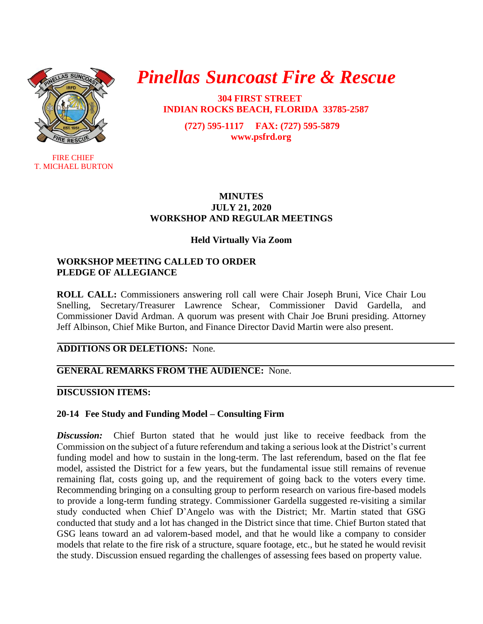

**FIRE CHIEF** T. MICHAEL BURTON

# *Pinellas Suncoast Fire & Rescue*

 **304 FIRST STREET INDIAN ROCKS BEACH, FLORIDA 33785-2587**

> **(727) 595-1117 FAX: (727) 595-5879 [www.psfrd.org](http://www.psfrd.org/)**

### **MINUTES JULY 21, 2020 WORKSHOP AND REGULAR MEETINGS**

# **Held Virtually Via Zoom**

# **WORKSHOP MEETING CALLED TO ORDER PLEDGE OF ALLEGIANCE**

**ROLL CALL:** Commissioners answering roll call were Chair Joseph Bruni, Vice Chair Lou Snelling, Secretary/Treasurer Lawrence Schear, Commissioner David Gardella, and Commissioner David Ardman. A quorum was present with Chair Joe Bruni presiding. Attorney Jeff Albinson, Chief Mike Burton, and Finance Director David Martin were also present.

### **ADDITIONS OR DELETIONS:** None.

# **GENERAL REMARKS FROM THE AUDIENCE:** None.

# **DISCUSSION ITEMS:**

# **20-14 Fee Study and Funding Model – Consulting Firm**

*Discussion:* Chief Burton stated that he would just like to receive feedback from the Commission on the subject of a future referendum and taking a serious look at the District's current funding model and how to sustain in the long-term. The last referendum, based on the flat fee model, assisted the District for a few years, but the fundamental issue still remains of revenue remaining flat, costs going up, and the requirement of going back to the voters every time. Recommending bringing on a consulting group to perform research on various fire-based models to provide a long-term funding strategy. Commissioner Gardella suggested re-visiting a similar study conducted when Chief D'Angelo was with the District; Mr. Martin stated that GSG conducted that study and a lot has changed in the District since that time. Chief Burton stated that GSG leans toward an ad valorem-based model, and that he would like a company to consider models that relate to the fire risk of a structure, square footage, etc., but he stated he would revisit the study. Discussion ensued regarding the challenges of assessing fees based on property value.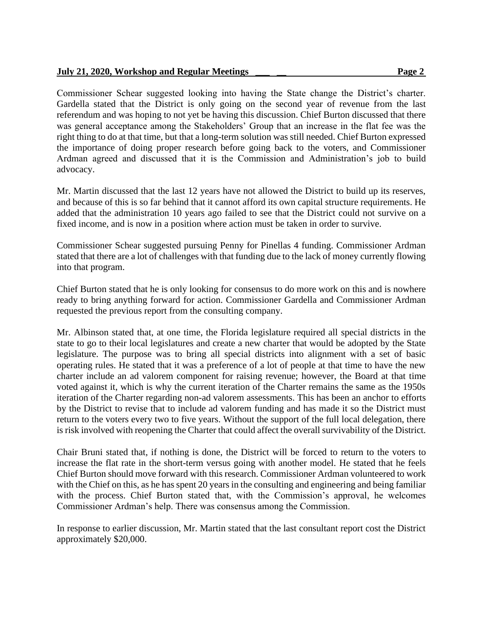### **July 21, 2020, Workshop and Regular Meetings \_\_\_ \_\_ Page 2**

Commissioner Schear suggested looking into having the State change the District's charter. Gardella stated that the District is only going on the second year of revenue from the last referendum and was hoping to not yet be having this discussion. Chief Burton discussed that there was general acceptance among the Stakeholders' Group that an increase in the flat fee was the right thing to do at that time, but that a long-term solution was still needed. Chief Burton expressed the importance of doing proper research before going back to the voters, and Commissioner Ardman agreed and discussed that it is the Commission and Administration's job to build advocacy.

Mr. Martin discussed that the last 12 years have not allowed the District to build up its reserves, and because of this is so far behind that it cannot afford its own capital structure requirements. He added that the administration 10 years ago failed to see that the District could not survive on a fixed income, and is now in a position where action must be taken in order to survive.

Commissioner Schear suggested pursuing Penny for Pinellas 4 funding. Commissioner Ardman stated that there are a lot of challenges with that funding due to the lack of money currently flowing into that program.

Chief Burton stated that he is only looking for consensus to do more work on this and is nowhere ready to bring anything forward for action. Commissioner Gardella and Commissioner Ardman requested the previous report from the consulting company.

Mr. Albinson stated that, at one time, the Florida legislature required all special districts in the state to go to their local legislatures and create a new charter that would be adopted by the State legislature. The purpose was to bring all special districts into alignment with a set of basic operating rules. He stated that it was a preference of a lot of people at that time to have the new charter include an ad valorem component for raising revenue; however, the Board at that time voted against it, which is why the current iteration of the Charter remains the same as the 1950s iteration of the Charter regarding non-ad valorem assessments. This has been an anchor to efforts by the District to revise that to include ad valorem funding and has made it so the District must return to the voters every two to five years. Without the support of the full local delegation, there is risk involved with reopening the Charter that could affect the overall survivability of the District.

Chair Bruni stated that, if nothing is done, the District will be forced to return to the voters to increase the flat rate in the short-term versus going with another model. He stated that he feels Chief Burton should move forward with this research. Commissioner Ardman volunteered to work with the Chief on this, as he has spent 20 years in the consulting and engineering and being familiar with the process. Chief Burton stated that, with the Commission's approval, he welcomes Commissioner Ardman's help. There was consensus among the Commission.

In response to earlier discussion, Mr. Martin stated that the last consultant report cost the District approximately \$20,000.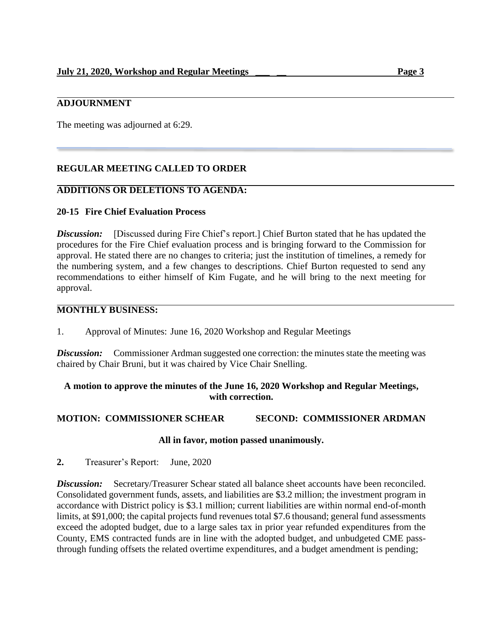# **ADJOURNMENT**

The meeting was adjourned at 6:29.

# **REGULAR MEETING CALLED TO ORDER**

### **ADDITIONS OR DELETIONS TO AGENDA:**

### **20-15 Fire Chief Evaluation Process**

**Discussion:** [Discussed during Fire Chief's report.] Chief Burton stated that he has updated the procedures for the Fire Chief evaluation process and is bringing forward to the Commission for approval. He stated there are no changes to criteria; just the institution of timelines, a remedy for the numbering system, and a few changes to descriptions. Chief Burton requested to send any recommendations to either himself of Kim Fugate, and he will bring to the next meeting for approval.

### **MONTHLY BUSINESS:**

1. Approval of Minutes: June 16, 2020 Workshop and Regular Meetings

*Discussion:* Commissioner Ardman suggested one correction: the minutes state the meeting was chaired by Chair Bruni, but it was chaired by Vice Chair Snelling.

### **A motion to approve the minutes of the June 16, 2020 Workshop and Regular Meetings, with correction.**

### **MOTION: COMMISSIONER SCHEAR SECOND: COMMISSIONER ARDMAN**

### **All in favor, motion passed unanimously.**

**2.** Treasurer's Report: June, 2020

**Discussion:** Secretary/Treasurer Schear stated all balance sheet accounts have been reconciled. Consolidated government funds, assets, and liabilities are \$3.2 million; the investment program in accordance with District policy is \$3.1 million; current liabilities are within normal end-of-month limits, at \$91,000; the capital projects fund revenues total \$7.6 thousand; general fund assessments exceed the adopted budget, due to a large sales tax in prior year refunded expenditures from the County, EMS contracted funds are in line with the adopted budget, and unbudgeted CME passthrough funding offsets the related overtime expenditures, and a budget amendment is pending;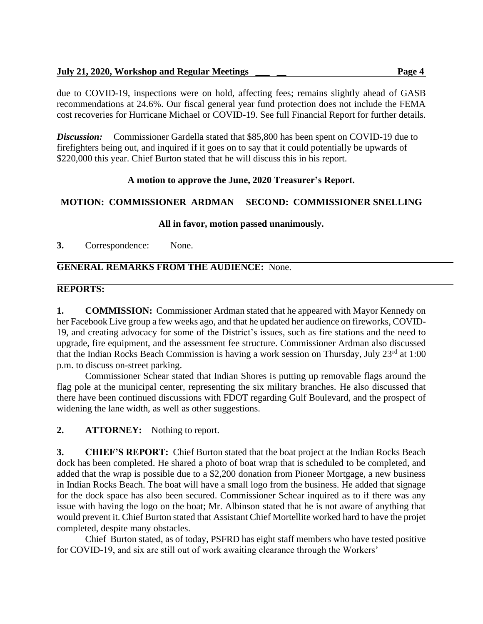due to COVID-19, inspections were on hold, affecting fees; remains slightly ahead of GASB recommendations at 24.6%. Our fiscal general year fund protection does not include the FEMA cost recoveries for Hurricane Michael or COVID-19. See full Financial Report for further details.

**Discussion:** Commissioner Gardella stated that \$85,800 has been spent on COVID-19 due to firefighters being out, and inquired if it goes on to say that it could potentially be upwards of \$220,000 this year. Chief Burton stated that he will discuss this in his report.

# **A motion to approve the June, 2020 Treasurer's Report.**

# **MOTION: COMMISSIONER ARDMAN SECOND: COMMISSIONER SNELLING**

# **All in favor, motion passed unanimously.**

**3.** Correspondence: None.

# **GENERAL REMARKS FROM THE AUDIENCE:** None.

# **REPORTS:**

**1. COMMISSION:** Commissioner Ardman stated that he appeared with Mayor Kennedy on her Facebook Live group a few weeks ago, and that he updated her audience on fireworks, COVID-19, and creating advocacy for some of the District's issues, such as fire stations and the need to upgrade, fire equipment, and the assessment fee structure. Commissioner Ardman also discussed that the Indian Rocks Beach Commission is having a work session on Thursday, July 23<sup>rd</sup> at 1:00 p.m. to discuss on-street parking.

Commissioner Schear stated that Indian Shores is putting up removable flags around the flag pole at the municipal center, representing the six military branches. He also discussed that there have been continued discussions with FDOT regarding Gulf Boulevard, and the prospect of widening the lane width, as well as other suggestions.

**2. ATTORNEY:** Nothing to report.

**3. CHIEF'S REPORT:** Chief Burton stated that the boat project at the Indian Rocks Beach dock has been completed. He shared a photo of boat wrap that is scheduled to be completed, and added that the wrap is possible due to a \$2,200 donation from Pioneer Mortgage, a new business in Indian Rocks Beach. The boat will have a small logo from the business. He added that signage for the dock space has also been secured. Commissioner Schear inquired as to if there was any issue with having the logo on the boat; Mr. Albinson stated that he is not aware of anything that would prevent it. Chief Burton stated that Assistant Chief Mortellite worked hard to have the projet completed, despite many obstacles.

Chief Burton stated, as of today, PSFRD has eight staff members who have tested positive for COVID-19, and six are still out of work awaiting clearance through the Workers'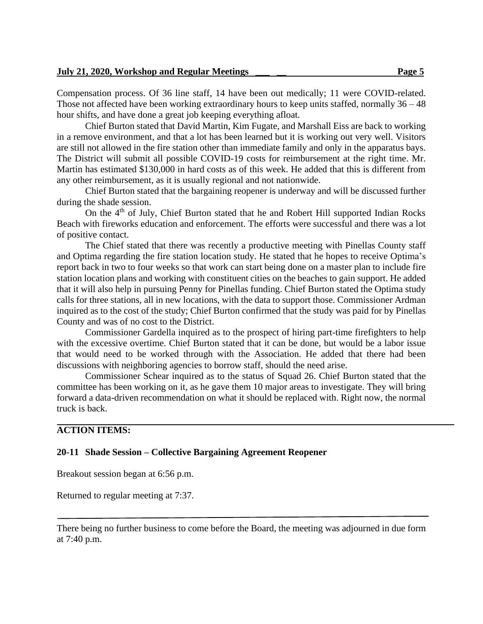Compensation process. Of 36 line staff, 14 have been out medically; 11 were COVID-related. Those not affected have been working extraordinary hours to keep units staffed, normally 36 – 48 hour shifts, and have done a great job keeping everything afloat.

Chief Burton stated that David Martin, Kim Fugate, and Marshall Eiss are back to working in a remove environment, and that a lot has been learned but it is working out very well. Visitors are still not allowed in the fire station other than immediate family and only in the apparatus bays. The District will submit all possible COVID-19 costs for reimbursement at the right time. Mr. Martin has estimated \$130,000 in hard costs as of this week. He added that this is different from any other reimbursement, as it is usually regional and not nationwide.

Chief Burton stated that the bargaining reopener is underway and will be discussed further during the shade session.

On the 4<sup>th</sup> of July, Chief Burton stated that he and Robert Hill supported Indian Rocks Beach with fireworks education and enforcement. The efforts were successful and there was a lot of positive contact.

The Chief stated that there was recently a productive meeting with Pinellas County staff and Optima regarding the fire station location study. He stated that he hopes to receive Optima's report back in two to four weeks so that work can start being done on a master plan to include fire station location plans and working with constituent cities on the beaches to gain support. He added that it will also help in pursuing Penny for Pinellas funding. Chief Burton stated the Optima study calls for three stations, all in new locations, with the data to support those. Commissioner Ardman inquired as to the cost of the study; Chief Burton confirmed that the study was paid for by Pinellas County and was of no cost to the District.

Commissioner Gardella inquired as to the prospect of hiring part-time firefighters to help with the excessive overtime. Chief Burton stated that it can be done, but would be a labor issue that would need to be worked through with the Association. He added that there had been discussions with neighboring agencies to borrow staff, should the need arise.

Commissioner Schear inquired as to the status of Squad 26. Chief Burton stated that the committee has been working on it, as he gave them 10 major areas to investigate. They will bring forward a data-driven recommendation on what it should be replaced with. Right now, the normal truck is back.

### **ACTION ITEMS:**

### **20-11 Shade Session – Collective Bargaining Agreement Reopener**

Breakout session began at 6:56 p.m.

Returned to regular meeting at 7:37.

There being no further business to come before the Board, the meeting was adjourned in due form at 7:40 p.m.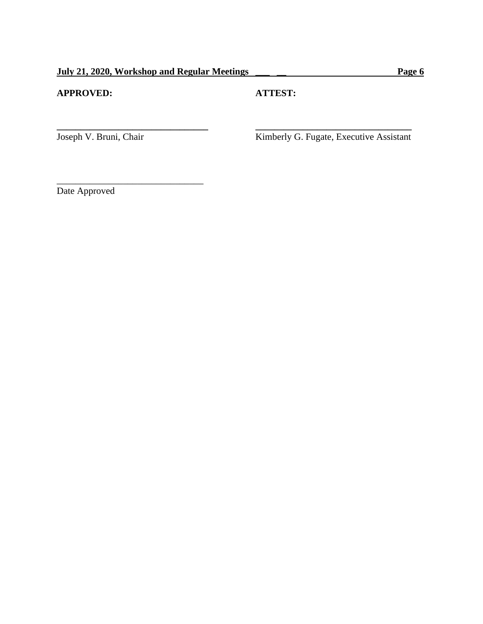# **APPROVED: ATTEST:**

**\_\_\_\_\_\_\_\_\_\_\_\_\_\_\_\_\_\_\_\_\_\_\_\_\_\_\_\_\_\_\_\_ \_\_\_\_\_\_\_\_\_\_\_\_\_\_\_\_\_\_\_\_\_\_\_\_\_\_\_\_\_\_\_\_\_**

\_\_\_\_\_\_\_\_\_\_\_\_\_\_\_\_\_\_\_\_\_\_\_\_\_\_\_\_\_\_\_

Joseph V. Bruni, Chair Kimberly G. Fugate, Executive Assistant

Date Approved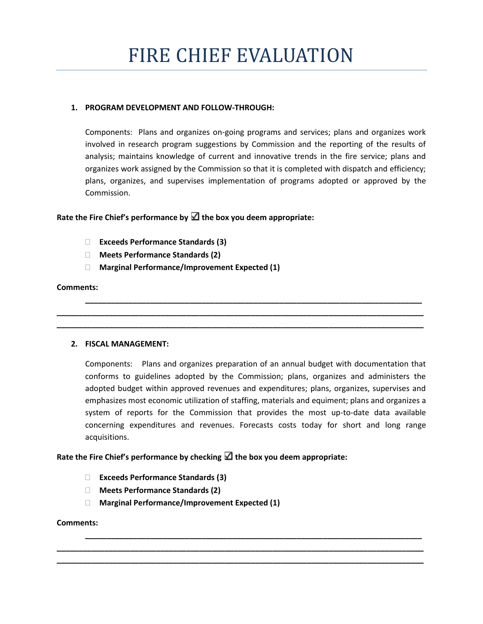### **1. PROGRAM DEVELOPMENT AND FOLLOW-THROUGH:**

Components: Plans and organizes on-going programs and services; plans and organizes work involved in research program suggestions by Commission and the reporting of the results of analysis; maintains knowledge of current and innovative trends in the fire service; plans and organizes work assigned by the Commission so that it is completed with dispatch and efficiency; plans, organizes, and supervises implementation of programs adopted or approved by the Commission.

### Rate the Fire Chief's performance by  $\Box$  the box you deem appropriate:

- **Exceeds Performance Standards (3)**
- **Meets Performance Standards (2)**
- **Marginal Performance/Improvement Expected (1)**

### **Comments:**

### **2. FISCAL MANAGEMENT:**

Components: Plans and organizes preparation of an annual budget with documentation that conforms to guidelines adopted by the Commission; plans, organizes and administers the adopted budget within approved revenues and expenditures; plans, organizes, supervises and emphasizes most economic utilization of staffing, materials and equiment; plans and organizes a system of reports for the Commission that provides the most up-to-date data available concerning expenditures and revenues. Forecasts costs today for short and long range acquisitions.

**\_\_\_\_\_\_\_\_\_\_\_\_\_\_\_\_\_\_\_\_\_\_\_\_\_\_\_\_\_\_\_\_\_\_\_\_\_\_\_\_\_\_\_\_\_\_\_\_\_\_\_\_\_\_\_\_\_\_\_\_\_\_\_\_\_\_\_\_\_\_\_\_\_\_\_\_\_\_**

**\_\_\_\_\_\_\_\_\_\_\_\_\_\_\_\_\_\_\_\_\_\_\_\_\_\_\_\_\_\_\_\_\_\_\_\_\_\_\_\_\_\_\_\_\_\_\_\_\_\_\_\_\_\_\_\_\_\_\_\_\_\_\_\_\_\_\_\_\_\_\_\_\_\_\_\_\_\_\_\_\_\_\_\_\_ \_\_\_\_\_\_\_\_\_\_\_\_\_\_\_\_\_\_\_\_\_\_\_\_\_\_\_\_\_\_\_\_\_\_\_\_\_\_\_\_\_\_\_\_\_\_\_\_\_\_\_\_\_\_\_\_\_\_\_\_\_\_\_\_\_\_\_\_\_\_\_\_\_\_\_\_\_\_\_\_\_\_\_\_\_**

**\_\_\_\_\_\_\_\_\_\_\_\_\_\_\_\_\_\_\_\_\_\_\_\_\_\_\_\_\_\_\_\_\_\_\_\_\_\_\_\_\_\_\_\_\_\_\_\_\_\_\_\_\_\_\_\_\_\_\_\_\_\_\_\_\_\_\_\_\_\_\_\_\_\_\_\_\_\_**

**\_\_\_\_\_\_\_\_\_\_\_\_\_\_\_\_\_\_\_\_\_\_\_\_\_\_\_\_\_\_\_\_\_\_\_\_\_\_\_\_\_\_\_\_\_\_\_\_\_\_\_\_\_\_\_\_\_\_\_\_\_\_\_\_\_\_\_\_\_\_\_\_\_\_\_\_\_\_\_\_\_\_\_\_\_ \_\_\_\_\_\_\_\_\_\_\_\_\_\_\_\_\_\_\_\_\_\_\_\_\_\_\_\_\_\_\_\_\_\_\_\_\_\_\_\_\_\_\_\_\_\_\_\_\_\_\_\_\_\_\_\_\_\_\_\_\_\_\_\_\_\_\_\_\_\_\_\_\_\_\_\_\_\_\_\_\_\_\_\_\_**

### **Rate the Fire Chief's performance by checking the box you deem appropriate:**

- **Exceeds Performance Standards (3)**
- **Meets Performance Standards (2)**
- **Marginal Performance/Improvement Expected (1)**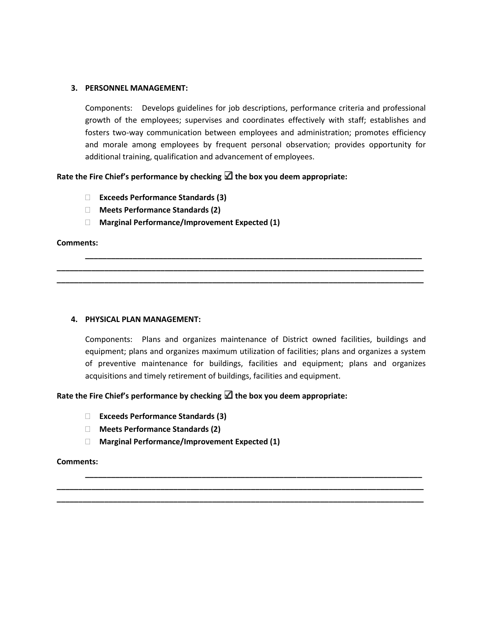### **3. PERSONNEL MANAGEMENT:**

Components: Develops guidelines for job descriptions, performance criteria and professional growth of the employees; supervises and coordinates effectively with staff; establishes and fosters two-way communication between employees and administration; promotes efficiency and morale among employees by frequent personal observation; provides opportunity for additional training, qualification and advancement of employees.

### **Rate the Fire Chief's performance by checking the box you deem appropriate:**

- **Exceeds Performance Standards (3)**
- **Meets Performance Standards (2)**
- **Marginal Performance/Improvement Expected (1)**

### **Comments:**

### **4. PHYSICAL PLAN MANAGEMENT:**

Components: Plans and organizes maintenance of District owned facilities, buildings and equipment; plans and organizes maximum utilization of facilities; plans and organizes a system of preventive maintenance for buildings, facilities and equipment; plans and organizes acquisitions and timely retirement of buildings, facilities and equipment.

**\_\_\_\_\_\_\_\_\_\_\_\_\_\_\_\_\_\_\_\_\_\_\_\_\_\_\_\_\_\_\_\_\_\_\_\_\_\_\_\_\_\_\_\_\_\_\_\_\_\_\_\_\_\_\_\_\_\_\_\_\_\_\_\_\_\_\_\_\_\_\_\_\_\_\_\_\_\_**

**\_\_\_\_\_\_\_\_\_\_\_\_\_\_\_\_\_\_\_\_\_\_\_\_\_\_\_\_\_\_\_\_\_\_\_\_\_\_\_\_\_\_\_\_\_\_\_\_\_\_\_\_\_\_\_\_\_\_\_\_\_\_\_\_\_\_\_\_\_\_\_\_\_\_\_\_\_\_\_\_\_\_\_\_\_ \_\_\_\_\_\_\_\_\_\_\_\_\_\_\_\_\_\_\_\_\_\_\_\_\_\_\_\_\_\_\_\_\_\_\_\_\_\_\_\_\_\_\_\_\_\_\_\_\_\_\_\_\_\_\_\_\_\_\_\_\_\_\_\_\_\_\_\_\_\_\_\_\_\_\_\_\_\_\_\_\_\_\_\_\_**

**\_\_\_\_\_\_\_\_\_\_\_\_\_\_\_\_\_\_\_\_\_\_\_\_\_\_\_\_\_\_\_\_\_\_\_\_\_\_\_\_\_\_\_\_\_\_\_\_\_\_\_\_\_\_\_\_\_\_\_\_\_\_\_\_\_\_\_\_\_\_\_\_\_\_\_\_\_\_**

**\_\_\_\_\_\_\_\_\_\_\_\_\_\_\_\_\_\_\_\_\_\_\_\_\_\_\_\_\_\_\_\_\_\_\_\_\_\_\_\_\_\_\_\_\_\_\_\_\_\_\_\_\_\_\_\_\_\_\_\_\_\_\_\_\_\_\_\_\_\_\_\_\_\_\_\_\_\_\_\_\_\_\_\_\_ \_\_\_\_\_\_\_\_\_\_\_\_\_\_\_\_\_\_\_\_\_\_\_\_\_\_\_\_\_\_\_\_\_\_\_\_\_\_\_\_\_\_\_\_\_\_\_\_\_\_\_\_\_\_\_\_\_\_\_\_\_\_\_\_\_\_\_\_\_\_\_\_\_\_\_\_\_\_\_\_\_\_\_\_\_**

### **Rate the Fire Chief's performance by checking the box you deem appropriate:**

- **Exceeds Performance Standards (3)**
- **Meets Performance Standards (2)**
- **Marginal Performance/Improvement Expected (1)**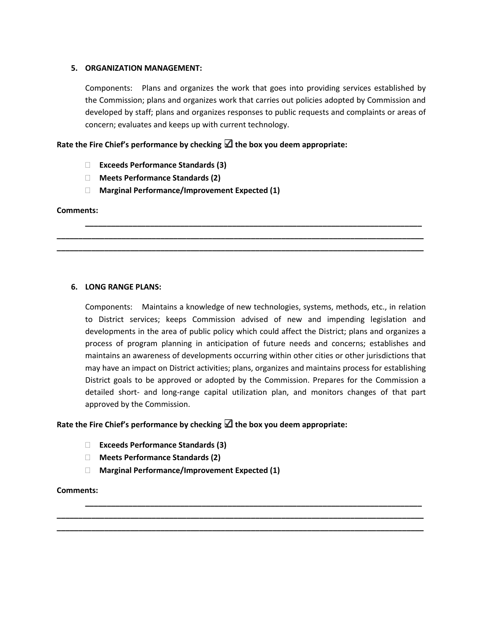### **5. ORGANIZATION MANAGEMENT:**

Components: Plans and organizes the work that goes into providing services established by the Commission; plans and organizes work that carries out policies adopted by Commission and developed by staff; plans and organizes responses to public requests and complaints or areas of concern; evaluates and keeps up with current technology.

**\_\_\_\_\_\_\_\_\_\_\_\_\_\_\_\_\_\_\_\_\_\_\_\_\_\_\_\_\_\_\_\_\_\_\_\_\_\_\_\_\_\_\_\_\_\_\_\_\_\_\_\_\_\_\_\_\_\_\_\_\_\_\_\_\_\_\_\_\_\_\_\_\_\_\_\_\_\_**

**\_\_\_\_\_\_\_\_\_\_\_\_\_\_\_\_\_\_\_\_\_\_\_\_\_\_\_\_\_\_\_\_\_\_\_\_\_\_\_\_\_\_\_\_\_\_\_\_\_\_\_\_\_\_\_\_\_\_\_\_\_\_\_\_\_\_\_\_\_\_\_\_\_\_\_\_\_\_\_\_\_\_\_\_\_ \_\_\_\_\_\_\_\_\_\_\_\_\_\_\_\_\_\_\_\_\_\_\_\_\_\_\_\_\_\_\_\_\_\_\_\_\_\_\_\_\_\_\_\_\_\_\_\_\_\_\_\_\_\_\_\_\_\_\_\_\_\_\_\_\_\_\_\_\_\_\_\_\_\_\_\_\_\_\_\_\_\_\_\_\_**

### **Rate the Fire Chief's performance by checking the box you deem appropriate:**

- **Exceeds Performance Standards (3)**
- **Meets Performance Standards (2)**
- **Marginal Performance/Improvement Expected (1)**

### **Comments:**

### **6. LONG RANGE PLANS:**

Components: Maintains a knowledge of new technologies, systems, methods, etc., in relation to District services; keeps Commission advised of new and impending legislation and developments in the area of public policy which could affect the District; plans and organizes a process of program planning in anticipation of future needs and concerns; establishes and maintains an awareness of developments occurring within other cities or other jurisdictions that may have an impact on District activities; plans, organizes and maintains process for establishing District goals to be approved or adopted by the Commission. Prepares for the Commission a detailed short- and long-range capital utilization plan, and monitors changes of that part approved by the Commission.

**\_\_\_\_\_\_\_\_\_\_\_\_\_\_\_\_\_\_\_\_\_\_\_\_\_\_\_\_\_\_\_\_\_\_\_\_\_\_\_\_\_\_\_\_\_\_\_\_\_\_\_\_\_\_\_\_\_\_\_\_\_\_\_\_\_\_\_\_\_\_\_\_\_\_\_\_\_\_**

**\_\_\_\_\_\_\_\_\_\_\_\_\_\_\_\_\_\_\_\_\_\_\_\_\_\_\_\_\_\_\_\_\_\_\_\_\_\_\_\_\_\_\_\_\_\_\_\_\_\_\_\_\_\_\_\_\_\_\_\_\_\_\_\_\_\_\_\_\_\_\_\_\_\_\_\_\_\_\_\_\_\_\_\_\_ \_\_\_\_\_\_\_\_\_\_\_\_\_\_\_\_\_\_\_\_\_\_\_\_\_\_\_\_\_\_\_\_\_\_\_\_\_\_\_\_\_\_\_\_\_\_\_\_\_\_\_\_\_\_\_\_\_\_\_\_\_\_\_\_\_\_\_\_\_\_\_\_\_\_\_\_\_\_\_\_\_\_\_\_\_**

### **Rate the Fire Chief's performance by checking the box you deem appropriate:**

- **Exceeds Performance Standards (3)**
- **Meets Performance Standards (2)**
- **Marginal Performance/Improvement Expected (1)**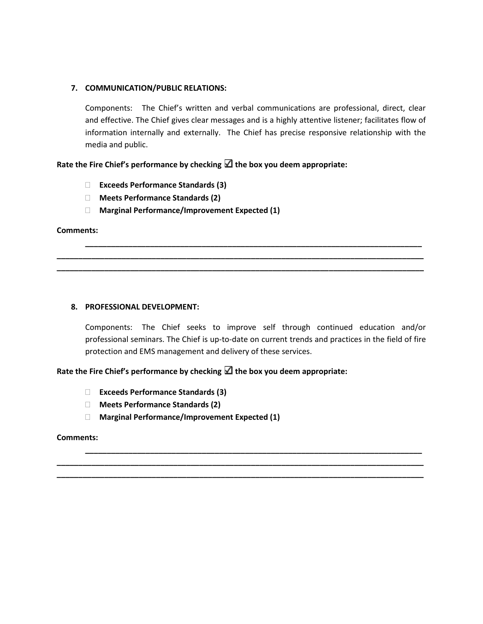### **7. COMMUNICATION/PUBLIC RELATIONS:**

Components: The Chief's written and verbal communications are professional, direct, clear and effective. The Chief gives clear messages and is a highly attentive listener; facilitates flow of information internally and externally. The Chief has precise responsive relationship with the media and public.

**Rate the Fire Chief's performance by checking the box you deem appropriate:**

- **Exceeds Performance Standards (3)**
- **Meets Performance Standards (2)**
- **Marginal Performance/Improvement Expected (1)**

### **Comments:**

### **8. PROFESSIONAL DEVELOPMENT:**

Components: The Chief seeks to improve self through continued education and/or professional seminars. The Chief is up-to-date on current trends and practices in the field of fire protection and EMS management and delivery of these services.

**\_\_\_\_\_\_\_\_\_\_\_\_\_\_\_\_\_\_\_\_\_\_\_\_\_\_\_\_\_\_\_\_\_\_\_\_\_\_\_\_\_\_\_\_\_\_\_\_\_\_\_\_\_\_\_\_\_\_\_\_\_\_\_\_\_\_\_\_\_\_\_\_\_\_\_\_\_\_**

**\_\_\_\_\_\_\_\_\_\_\_\_\_\_\_\_\_\_\_\_\_\_\_\_\_\_\_\_\_\_\_\_\_\_\_\_\_\_\_\_\_\_\_\_\_\_\_\_\_\_\_\_\_\_\_\_\_\_\_\_\_\_\_\_\_\_\_\_\_\_\_\_\_\_\_\_\_\_\_\_\_\_\_\_\_ \_\_\_\_\_\_\_\_\_\_\_\_\_\_\_\_\_\_\_\_\_\_\_\_\_\_\_\_\_\_\_\_\_\_\_\_\_\_\_\_\_\_\_\_\_\_\_\_\_\_\_\_\_\_\_\_\_\_\_\_\_\_\_\_\_\_\_\_\_\_\_\_\_\_\_\_\_\_\_\_\_\_\_\_\_**

**\_\_\_\_\_\_\_\_\_\_\_\_\_\_\_\_\_\_\_\_\_\_\_\_\_\_\_\_\_\_\_\_\_\_\_\_\_\_\_\_\_\_\_\_\_\_\_\_\_\_\_\_\_\_\_\_\_\_\_\_\_\_\_\_\_\_\_\_\_\_\_\_\_\_\_\_\_\_**

**\_\_\_\_\_\_\_\_\_\_\_\_\_\_\_\_\_\_\_\_\_\_\_\_\_\_\_\_\_\_\_\_\_\_\_\_\_\_\_\_\_\_\_\_\_\_\_\_\_\_\_\_\_\_\_\_\_\_\_\_\_\_\_\_\_\_\_\_\_\_\_\_\_\_\_\_\_\_\_\_\_\_\_\_\_ \_\_\_\_\_\_\_\_\_\_\_\_\_\_\_\_\_\_\_\_\_\_\_\_\_\_\_\_\_\_\_\_\_\_\_\_\_\_\_\_\_\_\_\_\_\_\_\_\_\_\_\_\_\_\_\_\_\_\_\_\_\_\_\_\_\_\_\_\_\_\_\_\_\_\_\_\_\_\_\_\_\_\_\_\_**

**Rate the Fire Chief's performance by checking the box you deem appropriate:**

- **Exceeds Performance Standards (3)**
- **Meets Performance Standards (2)**
- **Marginal Performance/Improvement Expected (1)**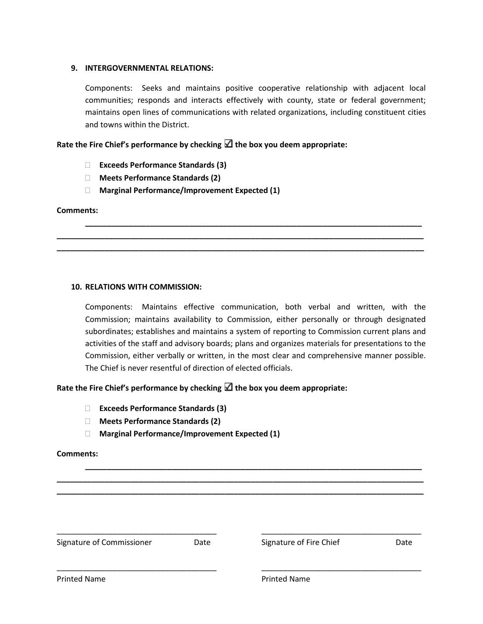### **9. INTERGOVERNMENTAL RELATIONS:**

Components: Seeks and maintains positive cooperative relationship with adjacent local communities; responds and interacts effectively with county, state or federal government; maintains open lines of communications with related organizations, including constituent cities and towns within the District.

### **Rate the Fire Chief's performance by checking the box you deem appropriate:**

- **Exceeds Performance Standards (3)**
- **Meets Performance Standards (2)**
- **Marginal Performance/Improvement Expected (1)**

### **Comments:**

### **10. RELATIONS WITH COMMISSION:**

Components: Maintains effective communication, both verbal and written, with the Commission; maintains availability to Commission, either personally or through designated subordinates; establishes and maintains a system of reporting to Commission current plans and activities of the staff and advisory boards; plans and organizes materials for presentations to the Commission, either verbally or written, in the most clear and comprehensive manner possible. The Chief is never resentful of direction of elected officials.

**\_\_\_\_\_\_\_\_\_\_\_\_\_\_\_\_\_\_\_\_\_\_\_\_\_\_\_\_\_\_\_\_\_\_\_\_\_\_\_\_\_\_\_\_\_\_\_\_\_\_\_\_\_\_\_\_\_\_\_\_\_\_\_\_\_\_\_\_\_\_\_\_\_\_\_\_\_\_**

**\_\_\_\_\_\_\_\_\_\_\_\_\_\_\_\_\_\_\_\_\_\_\_\_\_\_\_\_\_\_\_\_\_\_\_\_\_\_\_\_\_\_\_\_\_\_\_\_\_\_\_\_\_\_\_\_\_\_\_\_\_\_\_\_\_\_\_\_\_\_\_\_\_\_\_\_\_\_**

**\_\_\_\_\_\_\_\_\_\_\_\_\_\_\_\_\_\_\_\_\_\_\_\_\_\_\_\_\_\_\_\_\_\_\_\_\_\_\_\_\_\_\_\_\_\_\_\_\_\_\_\_\_\_\_\_\_\_\_\_\_\_\_\_\_\_\_\_\_\_\_\_\_\_\_\_\_\_\_\_\_\_\_\_\_ \_\_\_\_\_\_\_\_\_\_\_\_\_\_\_\_\_\_\_\_\_\_\_\_\_\_\_\_\_\_\_\_\_\_\_\_\_\_\_\_\_\_\_\_\_\_\_\_\_\_\_\_\_\_\_\_\_\_\_\_\_\_\_\_\_\_\_\_\_\_\_\_\_\_\_\_\_\_\_\_\_\_\_\_\_**

### **Rate the Fire Chief's performance by checking the box you deem appropriate:**

- **Exceeds Performance Standards (3)**
- **Meets Performance Standards (2)**
- **Marginal Performance/Improvement Expected (1)**

### **Comments:**

**\_\_\_\_\_\_\_\_\_\_\_\_\_\_\_\_\_\_\_\_\_\_\_\_\_\_\_\_\_\_\_\_\_\_\_\_\_\_\_\_\_\_\_\_\_\_\_\_\_\_\_\_\_\_\_\_\_\_\_\_\_\_\_\_\_\_\_\_\_\_\_\_\_\_\_\_\_\_\_\_\_\_\_\_\_** \_\_\_\_\_\_\_\_\_\_\_\_\_\_\_\_\_\_\_\_\_\_\_\_\_\_\_\_\_\_\_\_\_\_\_\_\_ \_\_\_\_\_\_\_\_\_\_\_\_\_\_\_\_\_\_\_\_\_\_\_\_\_\_\_\_\_\_\_\_\_\_\_\_\_ Signature of Commissioner **Date** Date **Date** Signature of Fire Chief **Date** Date \_\_\_\_\_\_\_\_\_\_\_\_\_\_\_\_\_\_\_\_\_\_\_\_\_\_\_\_\_\_\_\_\_\_\_\_\_ \_\_\_\_\_\_\_\_\_\_\_\_\_\_\_\_\_\_\_\_\_\_\_\_\_\_\_\_\_\_\_\_\_\_\_\_\_ Printed Name **Printed Name Printed Name** 

**\_\_\_\_\_\_\_\_\_\_\_\_\_\_\_\_\_\_\_\_\_\_\_\_\_\_\_\_\_\_\_\_\_\_\_\_\_\_\_\_\_\_\_\_\_\_\_\_\_\_\_\_\_\_\_\_\_\_\_\_\_\_\_\_\_\_\_\_\_\_\_\_\_\_\_\_\_\_\_\_\_\_\_\_\_**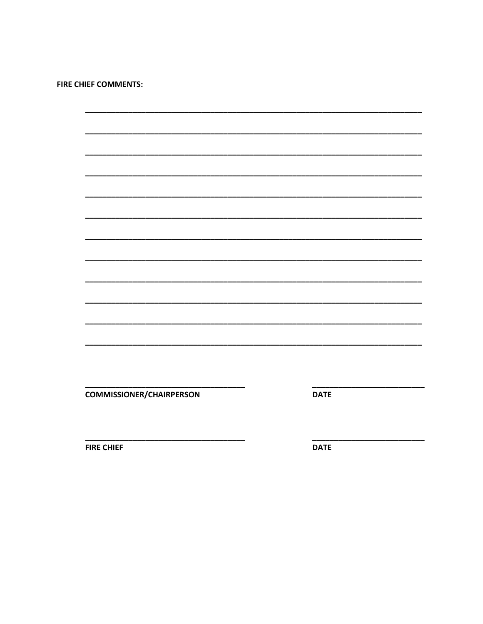**FIRE CHIEF COMMENTS:** 

**COMMISSIONER/CHAIRPERSON** 

**DATE** 

**FIRE CHIEF** 

**DATE**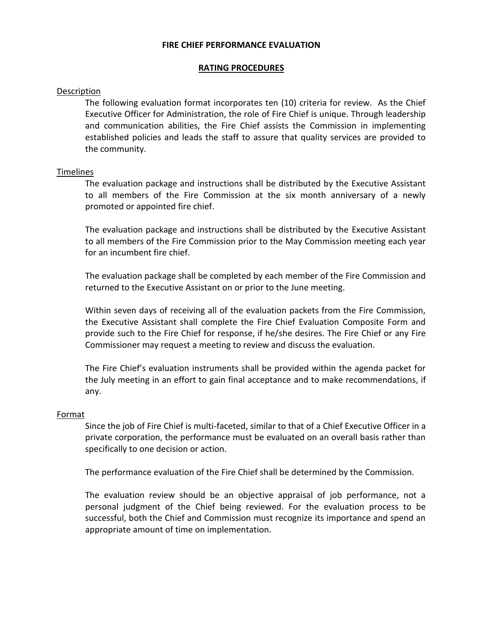### **FIRE CHIEF PERFORMANCE EVALUATION**

### **RATING PROCEDURES**

### **Description**

The following evaluation format incorporates ten (10) criteria for review. As the Chief Executive Officer for Administration, the role of Fire Chief is unique. Through leadership and communication abilities, the Fire Chief assists the Commission in implementing established policies and leads the staff to assure that quality services are provided to the community.

### Timelines

The evaluation package and instructions shall be distributed by the Executive Assistant to all members of the Fire Commission at the six month anniversary of a newly promoted or appointed fire chief.

The evaluation package and instructions shall be distributed by the Executive Assistant to all members of the Fire Commission prior to the May Commission meeting each year for an incumbent fire chief.

The evaluation package shall be completed by each member of the Fire Commission and returned to the Executive Assistant on or prior to the June meeting.

Within seven days of receiving all of the evaluation packets from the Fire Commission, the Executive Assistant shall complete the Fire Chief Evaluation Composite Form and provide such to the Fire Chief for response, if he/she desires. The Fire Chief or any Fire Commissioner may request a meeting to review and discuss the evaluation.

The Fire Chief's evaluation instruments shall be provided within the agenda packet for the July meeting in an effort to gain final acceptance and to make recommendations, if any.

### Format

Since the job of Fire Chief is multi-faceted, similar to that of a Chief Executive Officer in a private corporation, the performance must be evaluated on an overall basis rather than specifically to one decision or action.

The performance evaluation of the Fire Chief shall be determined by the Commission.

The evaluation review should be an objective appraisal of job performance, not a personal judgment of the Chief being reviewed. For the evaluation process to be successful, both the Chief and Commission must recognize its importance and spend an appropriate amount of time on implementation.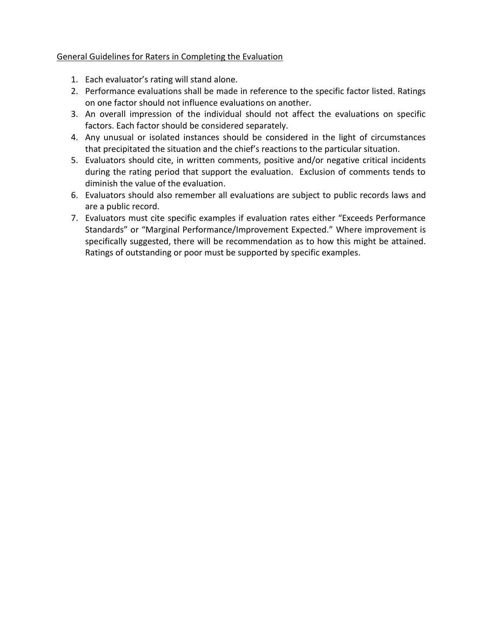### General Guidelines for Raters in Completing the Evaluation

- 1. Each evaluator's rating will stand alone.
- 2. Performance evaluations shall be made in reference to the specific factor listed. Ratings on one factor should not influence evaluations on another.
- 3. An overall impression of the individual should not affect the evaluations on specific factors. Each factor should be considered separately.
- 4. Any unusual or isolated instances should be considered in the light of circumstances that precipitated the situation and the chief's reactions to the particular situation.
- 5. Evaluators should cite, in written comments, positive and/or negative critical incidents during the rating period that support the evaluation. Exclusion of comments tends to diminish the value of the evaluation.
- 6. Evaluators should also remember all evaluations are subject to public records laws and are a public record.
- 7. Evaluators must cite specific examples if evaluation rates either "Exceeds Performance Standards" or "Marginal Performance/Improvement Expected." Where improvement is specifically suggested, there will be recommendation as to how this might be attained. Ratings of outstanding or poor must be supported by specific examples.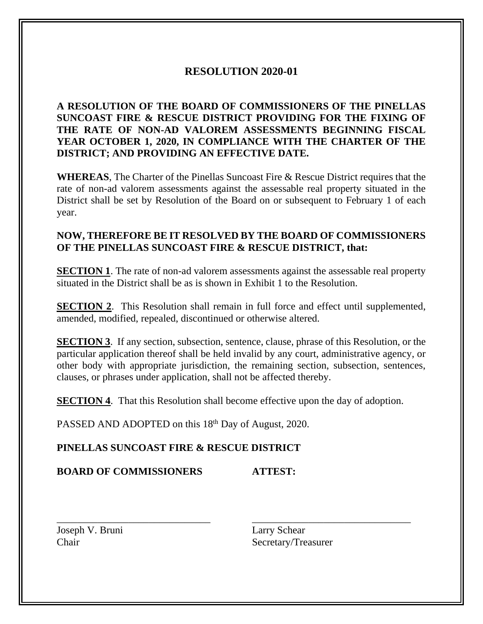# **RESOLUTION 2020-01**

**A RESOLUTION OF THE BOARD OF COMMISSIONERS OF THE PINELLAS SUNCOAST FIRE & RESCUE DISTRICT PROVIDING FOR THE FIXING OF THE RATE OF NON-AD VALOREM ASSESSMENTS BEGINNING FISCAL YEAR OCTOBER 1, 2020, IN COMPLIANCE WITH THE CHARTER OF THE DISTRICT; AND PROVIDING AN EFFECTIVE DATE.**

**WHEREAS**, The Charter of the Pinellas Suncoast Fire & Rescue District requires that the rate of non-ad valorem assessments against the assessable real property situated in the District shall be set by Resolution of the Board on or subsequent to February 1 of each year.

# **NOW, THEREFORE BE IT RESOLVED BY THE BOARD OF COMMISSIONERS OF THE PINELLAS SUNCOAST FIRE & RESCUE DISTRICT, that:**

**SECTION 1.** The rate of non-ad valorem assessments against the assessable real property situated in the District shall be as is shown in Exhibit 1 to the Resolution.

**SECTION 2.** This Resolution shall remain in full force and effect until supplemented, amended, modified, repealed, discontinued or otherwise altered.

**SECTION 3**. If any section, subsection, sentence, clause, phrase of this Resolution, or the particular application thereof shall be held invalid by any court, administrative agency, or other body with appropriate jurisdiction, the remaining section, subsection, sentences, clauses, or phrases under application, shall not be affected thereby.

**SECTION 4.** That this Resolution shall become effective upon the day of adoption.

\_\_\_\_\_\_\_\_\_\_\_\_\_\_\_\_\_\_\_\_\_\_\_\_\_\_\_\_\_\_ \_\_\_\_\_\_\_\_\_\_\_\_\_\_\_\_\_\_\_\_\_\_\_\_\_\_\_\_\_\_\_

PASSED AND ADOPTED on this 18<sup>th</sup> Day of August, 2020.

# **PINELLAS SUNCOAST FIRE & RESCUE DISTRICT**

**BOARD OF COMMISSIONERS ATTEST:**

Joseph V. Bruni Larry Schear

Chair Secretary/Treasurer